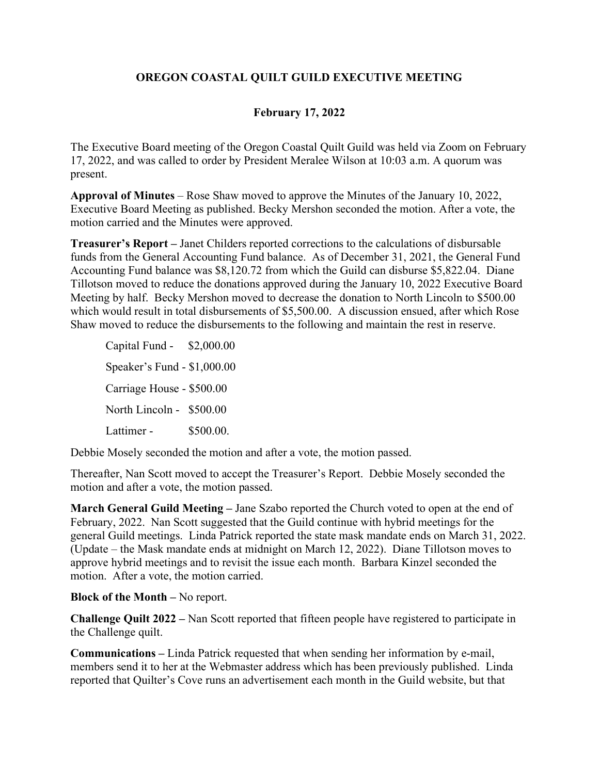## **OREGON COASTAL QUILT GUILD EXECUTIVE MEETING**

## **February 17, 2022**

The Executive Board meeting of the Oregon Coastal Quilt Guild was held via Zoom on February 17, 2022, and was called to order by President Meralee Wilson at 10:03 a.m. A quorum was present.

**Approval of Minutes** – Rose Shaw moved to approve the Minutes of the January 10, 2022, Executive Board Meeting as published. Becky Mershon seconded the motion. After a vote, the motion carried and the Minutes were approved.

**Treasurer's Report –** Janet Childers reported corrections to the calculations of disbursable funds from the General Accounting Fund balance. As of December 31, 2021, the General Fund Accounting Fund balance was \$8,120.72 from which the Guild can disburse \$5,822.04. Diane Tillotson moved to reduce the donations approved during the January 10, 2022 Executive Board Meeting by half. Becky Mershon moved to decrease the donation to North Lincoln to \$500.00 which would result in total disbursements of \$5,500.00. A discussion ensued, after which Rose Shaw moved to reduce the disbursements to the following and maintain the rest in reserve.

Capital Fund - \$2,000.00 Speaker's Fund - \$1,000.00 Carriage House - \$500.00 North Lincoln - \$500.00 Lattimer - \$500.00.

Debbie Mosely seconded the motion and after a vote, the motion passed.

Thereafter, Nan Scott moved to accept the Treasurer's Report. Debbie Mosely seconded the motion and after a vote, the motion passed.

**March General Guild Meeting –** Jane Szabo reported the Church voted to open at the end of February, 2022. Nan Scott suggested that the Guild continue with hybrid meetings for the general Guild meetings. Linda Patrick reported the state mask mandate ends on March 31, 2022. (Update – the Mask mandate ends at midnight on March 12, 2022). Diane Tillotson moves to approve hybrid meetings and to revisit the issue each month. Barbara Kinzel seconded the motion. After a vote, the motion carried.

**Block of the Month –** No report.

**Challenge Quilt 2022 –** Nan Scott reported that fifteen people have registered to participate in the Challenge quilt.

**Communications –** Linda Patrick requested that when sending her information by e-mail, members send it to her at the Webmaster address which has been previously published. Linda reported that Quilter's Cove runs an advertisement each month in the Guild website, but that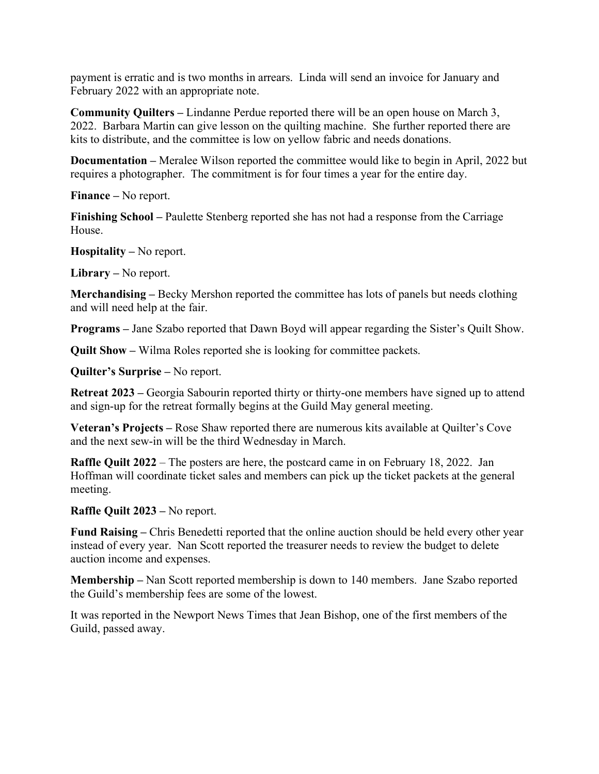payment is erratic and is two months in arrears. Linda will send an invoice for January and February 2022 with an appropriate note.

**Community Quilters –** Lindanne Perdue reported there will be an open house on March 3, 2022. Barbara Martin can give lesson on the quilting machine. She further reported there are kits to distribute, and the committee is low on yellow fabric and needs donations.

**Documentation –** Meralee Wilson reported the committee would like to begin in April, 2022 but requires a photographer. The commitment is for four times a year for the entire day.

**Finance –** No report.

**Finishing School –** Paulette Stenberg reported she has not had a response from the Carriage House.

**Hospitality –** No report.

**Library –** No report.

**Merchandising –** Becky Mershon reported the committee has lots of panels but needs clothing and will need help at the fair.

**Programs –** Jane Szabo reported that Dawn Boyd will appear regarding the Sister's Quilt Show.

**Quilt Show –** Wilma Roles reported she is looking for committee packets.

**Quilter's Surprise –** No report.

**Retreat 2023 –** Georgia Sabourin reported thirty or thirty-one members have signed up to attend and sign-up for the retreat formally begins at the Guild May general meeting.

**Veteran's Projects –** Rose Shaw reported there are numerous kits available at Quilter's Cove and the next sew-in will be the third Wednesday in March.

**Raffle Quilt 2022** – The posters are here, the postcard came in on February 18, 2022. Jan Hoffman will coordinate ticket sales and members can pick up the ticket packets at the general meeting.

## **Raffle Quilt 2023 –** No report.

**Fund Raising –** Chris Benedetti reported that the online auction should be held every other year instead of every year. Nan Scott reported the treasurer needs to review the budget to delete auction income and expenses.

**Membership –** Nan Scott reported membership is down to 140 members. Jane Szabo reported the Guild's membership fees are some of the lowest.

It was reported in the Newport News Times that Jean Bishop, one of the first members of the Guild, passed away.